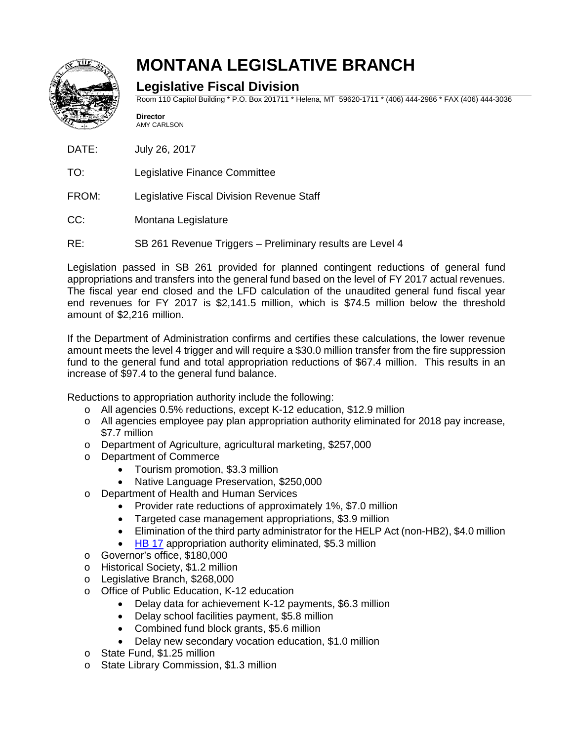

## **MONTANA LEGISLATIVE BRANCH**

## **Legislative Fiscal Division**

Room 110 Capitol Building \* P.O. Box 201711 \* Helena, MT 59620-1711 \* (406) 444-2986 \* FAX (406) 444-3036

**Director** AMY CARLSON

DATE: July 26, 2017

- TO: Legislative Finance Committee
- FROM: Legislative Fiscal Division Revenue Staff
- CC: Montana Legislature
- RE: SB 261 Revenue Triggers Preliminary results are Level 4

Legislation passed in SB 261 provided for planned contingent reductions of general fund appropriations and transfers into the general fund based on the level of FY 2017 actual revenues. The fiscal year end closed and the LFD calculation of the unaudited general fund fiscal year end revenues for FY 2017 is \$2,141.5 million, which is \$74.5 million below the threshold amount of \$2,216 million.

If the Department of Administration confirms and certifies these calculations, the lower revenue amount meets the level 4 trigger and will require a \$30.0 million transfer from the fire suppression fund to the general fund and total appropriation reductions of \$67.4 million. This results in an increase of \$97.4 to the general fund balance.

Reductions to appropriation authority include the following:

- o All agencies 0.5% reductions, except K-12 education, \$12.9 million
- o All agencies employee pay plan appropriation authority eliminated for 2018 pay increase, \$7.7 million
- o Department of Agriculture, agricultural marketing, \$257,000
- o Department of Commerce
	- Tourism promotion, \$3.3 million
	- Native Language Preservation, \$250,000
- o Department of Health and Human Services
	- Provider rate reductions of approximately 1%, \$7.0 million
	- Targeted case management appropriations, \$3.9 million
	- Elimination of the third party administrator for the HELP Act (non-HB2), \$4.0 million
	- [HB 17](http://leg.mt.gov/bills/2017/billpdf/HB0017.pdf) appropriation authority eliminated, \$5.3 million
- o Governor's office, \$180,000
- o Historical Society, \$1.2 million
- o Legislative Branch, \$268,000
- o Office of Public Education, K-12 education<br>Delay data for achievement K-12 pa
	- Delay data for achievement K-12 payments, \$6.3 million
	- Delay school facilities payment, \$5.8 million
	- Combined fund block grants, \$5.6 million
	- Delay new secondary vocation education, \$1.0 million
- o State Fund, \$1.25 million
- o State Library Commission, \$1.3 million